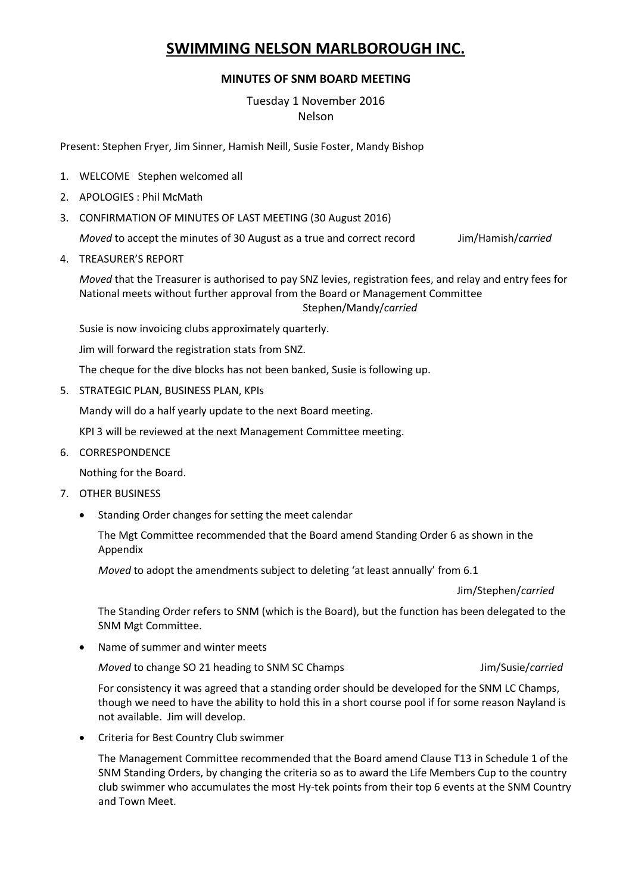## **SWIMMING NELSON MARLBOROUGH INC.**

## **MINUTES OF SNM BOARD MEETING**

## Tuesday 1 November 2016 Nelson

Present: Stephen Fryer, Jim Sinner, Hamish Neill, Susie Foster, Mandy Bishop

- 1. WELCOME Stephen welcomed all
- 2. APOLOGIES : Phil McMath
- 3. CONFIRMATION OF MINUTES OF LAST MEETING (30 August 2016)

*Moved* to accept the minutes of 30 August as a true and correct record Jim/Hamish/*carried*

4. TREASURER'S REPORT

*Moved* that the Treasurer is authorised to pay SNZ levies, registration fees, and relay and entry fees for National meets without further approval from the Board or Management Committee Stephen/Mandy/*carried*

Susie is now invoicing clubs approximately quarterly.

Jim will forward the registration stats from SNZ.

The cheque for the dive blocks has not been banked, Susie is following up.

5. STRATEGIC PLAN, BUSINESS PLAN, KPIs

Mandy will do a half yearly update to the next Board meeting.

KPI 3 will be reviewed at the next Management Committee meeting.

6. CORRESPONDENCE

Nothing for the Board.

- 7. OTHER BUSINESS
	- Standing Order changes for setting the meet calendar

The Mgt Committee recommended that the Board amend Standing Order 6 as shown in the Appendix

*Moved* to adopt the amendments subject to deleting 'at least annually' from 6.1

Jim/Stephen/*carried*

The Standing Order refers to SNM (which is the Board), but the function has been delegated to the SNM Mgt Committee.

Name of summer and winter meets

*Moved* to change SO 21 heading to SNM SC Champs **July 2006** Jim/Susie/*carried* 

For consistency it was agreed that a standing order should be developed for the SNM LC Champs, though we need to have the ability to hold this in a short course pool if for some reason Nayland is not available. Jim will develop.

Criteria for Best Country Club swimmer

The Management Committee recommended that the Board amend Clause T13 in Schedule 1 of the SNM Standing Orders, by changing the criteria so as to award the Life Members Cup to the country club swimmer who accumulates the most Hy-tek points from their top 6 events at the SNM Country and Town Meet.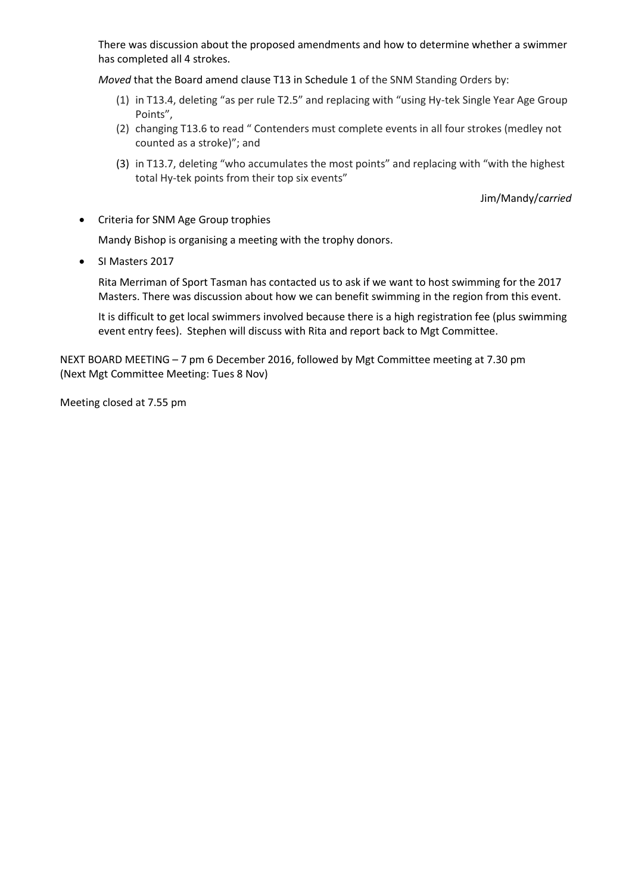There was discussion about the proposed amendments and how to determine whether a swimmer has completed all 4 strokes.

*Moved* that the Board amend clause T13 in Schedule 1 of the SNM Standing Orders by:

- (1) in T13.4, deleting "as per rule T2.5" and replacing with "using Hy-tek Single Year Age Group Points",
- (2) changing T13.6 to read " Contenders must complete events in all four strokes (medley not counted as a stroke)"; and
- (3) in T13.7, deleting "who accumulates the most points" and replacing with "with the highest total Hy-tek points from their top six events"

Jim/Mandy/*carried*

• Criteria for SNM Age Group trophies

Mandy Bishop is organising a meeting with the trophy donors.

SI Masters 2017

Rita Merriman of Sport Tasman has contacted us to ask if we want to host swimming for the 2017 Masters. There was discussion about how we can benefit swimming in the region from this event.

It is difficult to get local swimmers involved because there is a high registration fee (plus swimming event entry fees). Stephen will discuss with Rita and report back to Mgt Committee.

NEXT BOARD MEETING – 7 pm 6 December 2016, followed by Mgt Committee meeting at 7.30 pm (Next Mgt Committee Meeting: Tues 8 Nov)

Meeting closed at 7.55 pm